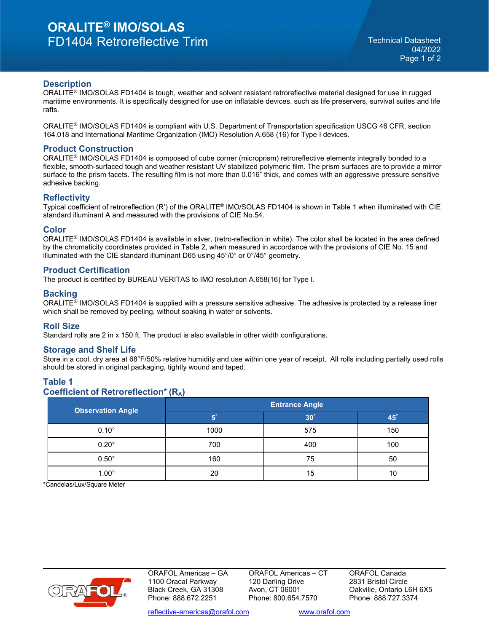## **Description**

ORALITE® IMO/SOLAS FD1404 is tough, weather and solvent resistant retroreflective material designed for use in rugged maritime environments. It is specifically designed for use on inflatable devices, such as life preservers, survival suites and life rafts.

ORALITE® IMO/SOLAS FD1404 is compliant with U.S. Department of Transportation specification USCG 46 CFR, section 164.018 and International Maritime Organization (IMO) Resolution A.658 (16) for Type I devices.

#### **Product Construction**

ORALITE® IMO/SOLAS FD1404 is composed of cube corner (microprism) retroreflective elements integrally bonded to a flexible, smooth-surfaced tough and weather resistant UV stabilized polymeric film. The prism surfaces are to provide a mirror surface to the prism facets. The resulting film is not more than 0.016" thick, and comes with an aggressive pressure sensitive adhesive backing.

#### **Reflectivity**

Typical coefficient of retroreflection (R') of the ORALITE® IMO/SOLAS FD1404 is shown in Table 1 when illuminated with CIE standard illuminant A and measured with the provisions of CIE No.54.

## **Color**

ORALITE® IMO/SOLAS FD1404 is available in silver, (retro-reflection in white). The color shall be located in the area defined by the chromaticity coordinates provided in Table 2, when measured in accordance with the provisions of CIE No. 15 and illuminated with the CIE standard illuminant D65 using 45°/0° or 0°/45° geometry.

## **Product Certification**

The product is certified by BUREAU VERITAS to IMO resolution A.658(16) for Type I.

## **Backing**

ORALITE® IMO/SOLAS FD1404 is supplied with a pressure sensitive adhesive. The adhesive is protected by a release liner which shall be removed by peeling, without soaking in water or solvents.

#### **Roll Size**

Standard rolls are 2 in x 150 ft. The product is also available in other width configurations.

#### **Storage and Shelf Life**

Store in a cool, dry area at 68°F/50% relative humidity and use within one year of receipt. All rolls including partially used rolls should be stored in original packaging, tightly wound and taped.

## **Table 1 Coefficient of Retroreflection\* (RA)**

| <b>Observation Angle</b> | <b>Entrance Angle</b> |                 |     |  |  |
|--------------------------|-----------------------|-----------------|-----|--|--|
|                          |                       | 30 <sup>°</sup> | 45  |  |  |
| $0.10^\circ$             | 1000                  | 575             | 150 |  |  |
| $0.20^\circ$             | 700                   | 400             | 100 |  |  |
| $0.50^\circ$             | 160                   | 75              | 50  |  |  |
| $1.00^\circ$             | 20                    | 15              | 10  |  |  |

\*Candelas/Lux/Square Meter



ORAFOL Americas – GA 1100 Oracal Parkway Black Creek, GA 31308 Phone: 888.672.2251

ORAFOL Americas – CT 120 Darling Drive Avon, CT 06001 Phone: 800.654.7570

ORAFOL Canada 2831 Bristol Circle Oakville, Ontario L6H 6X5 Phone: 888.727.3374

[reflective-americas@orafol.com](mailto:techsupport-americas@orafol.com) [www.orafol.com](http://www.orafol.com/)